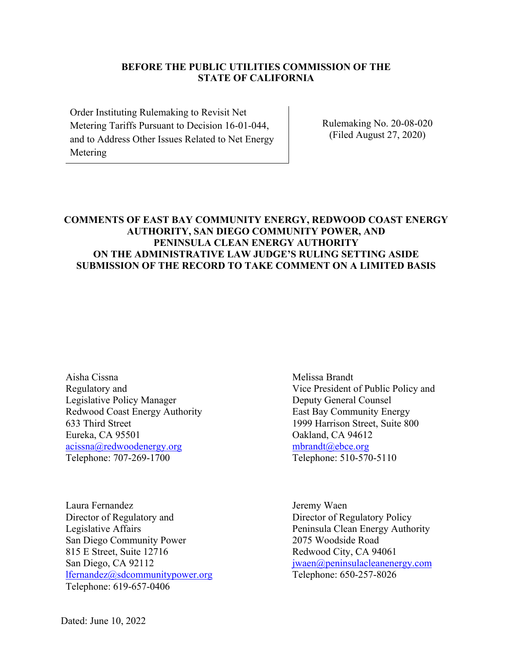#### **BEFORE THE PUBLIC UTILITIES COMMISSION OF THE STATE OF CALIFORNIA**

Order Instituting Rulemaking to Revisit Net Metering Tariffs Pursuant to Decision 16-01-044, and to Address Other Issues Related to Net Energy Metering

Rulemaking No. 20-08-020 (Filed August 27, 2020)

### **COMMENTS OF EAST BAY COMMUNITY ENERGY, REDWOOD COAST ENERGY AUTHORITY, SAN DIEGO COMMUNITY POWER, AND PENINSULA CLEAN ENERGY AUTHORITY ON THE ADMINISTRATIVE LAW JUDGE'S RULING SETTING ASIDE SUBMISSION OF THE RECORD TO TAKE COMMENT ON A LIMITED BASIS**

Aisha Cissna Regulatory and Legislative Policy Manager Redwood Coast Energy Authority 633 Third Street Eureka, CA 95501 acissna@redwoodenergy.org Telephone: 707-269-1700

Laura Fernandez Director of Regulatory and Legislative Affairs San Diego Community Power 815 E Street, Suite 12716 San Diego, CA 92112 lfernandez@sdcommunitypower.org Telephone: 619-657-0406

Melissa Brandt Vice President of Public Policy and Deputy General Counsel East Bay Community Energy 1999 Harrison Street, Suite 800 Oakland, CA 94612 mbrandt@ebce.org Telephone: 510-570-5110

Jeremy Waen Director of Regulatory Policy Peninsula Clean Energy Authority 2075 Woodside Road Redwood City, CA 94061 jwaen@peninsulacleanenergy.com Telephone: 650-257-8026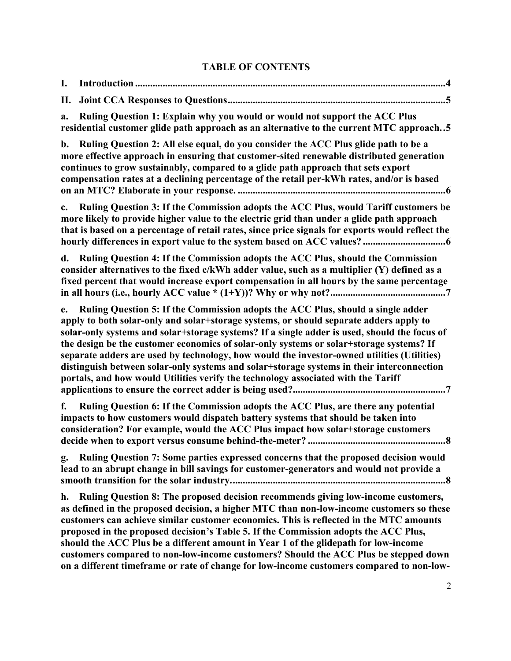# **TABLE OF CONTENTS**

| I.             |                                                                                                                                                                                                                                                                                                                                                                                                                                                                                                                                                                                                                                                      |
|----------------|------------------------------------------------------------------------------------------------------------------------------------------------------------------------------------------------------------------------------------------------------------------------------------------------------------------------------------------------------------------------------------------------------------------------------------------------------------------------------------------------------------------------------------------------------------------------------------------------------------------------------------------------------|
| П.             |                                                                                                                                                                                                                                                                                                                                                                                                                                                                                                                                                                                                                                                      |
| a.             | Ruling Question 1: Explain why you would or would not support the ACC Plus<br>residential customer glide path approach as an alternative to the current MTC approach5                                                                                                                                                                                                                                                                                                                                                                                                                                                                                |
| $\mathbf{b}$ . | Ruling Question 2: All else equal, do you consider the ACC Plus glide path to be a<br>more effective approach in ensuring that customer-sited renewable distributed generation<br>continues to grow sustainably, compared to a glide path approach that sets export<br>compensation rates at a declining percentage of the retail per-kWh rates, and/or is based                                                                                                                                                                                                                                                                                     |
| $c_{\cdot}$    | Ruling Question 3: If the Commission adopts the ACC Plus, would Tariff customers be<br>more likely to provide higher value to the electric grid than under a glide path approach<br>that is based on a percentage of retail rates, since price signals for exports would reflect the                                                                                                                                                                                                                                                                                                                                                                 |
| d.             | Ruling Question 4: If the Commission adopts the ACC Plus, should the Commission<br>consider alternatives to the fixed c/kWh adder value, such as a multiplier (Y) defined as a<br>fixed percent that would increase export compensation in all hours by the same percentage                                                                                                                                                                                                                                                                                                                                                                          |
| e.             | Ruling Question 5: If the Commission adopts the ACC Plus, should a single adder<br>apply to both solar-only and solar+storage systems, or should separate adders apply to<br>solar-only systems and solar+storage systems? If a single adder is used, should the focus of<br>the design be the customer economics of solar-only systems or solar+storage systems? If<br>separate adders are used by technology, how would the investor-owned utilities (Utilities)<br>distinguish between solar-only systems and solar+storage systems in their interconnection<br>portals, and how would Utilities verify the technology associated with the Tariff |
| f.             | Ruling Question 6: If the Commission adopts the ACC Plus, are there any potential<br>impacts to how customers would dispatch battery systems that should be taken into<br>consideration? For example, would the ACC Plus impact how solar+storage customers                                                                                                                                                                                                                                                                                                                                                                                          |
| g.             | Ruling Question 7: Some parties expressed concerns that the proposed decision would<br>lead to an abrupt change in bill savings for customer-generators and would not provide a                                                                                                                                                                                                                                                                                                                                                                                                                                                                      |
| h.             | Ruling Question 8: The proposed decision recommends giving low-income customers,<br>as defined in the proposed decision, a higher MTC than non-low-income customers so these<br>customers can achieve similar customer economics. This is reflected in the MTC amounts<br>proposed in the proposed decision's Table 5. If the Commission adopts the ACC Plus,<br>should the ACC Plus be a different amount in Year 1 of the glidepath for low-income<br>customers compared to non-low-income customers? Should the ACC Plus be stepped down<br>on a different timeframe or rate of change for low-income customers compared to non-low-              |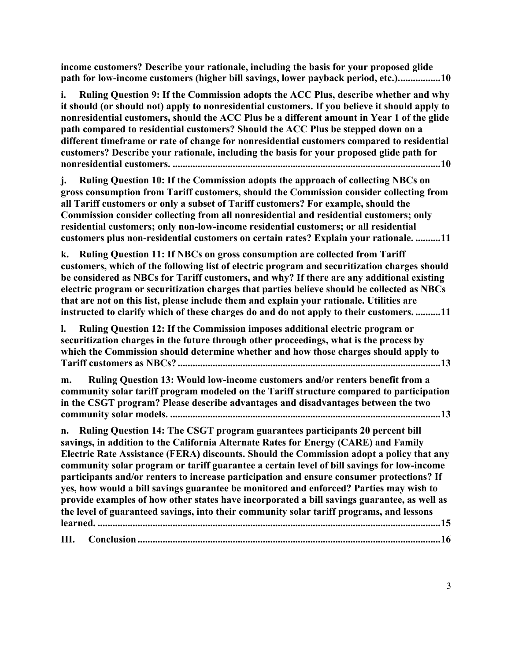**income customers? Describe your rationale, including the basis for your proposed glide path for low-income customers (higher bill savings, lower payback period, etc.).................10**

**i. Ruling Question 9: If the Commission adopts the ACC Plus, describe whether and why it should (or should not) apply to nonresidential customers. If you believe it should apply to nonresidential customers, should the ACC Plus be a different amount in Year 1 of the glide path compared to residential customers? Should the ACC Plus be stepped down on a different timeframe or rate of change for nonresidential customers compared to residential customers? Describe your rationale, including the basis for your proposed glide path for nonresidential customers. ...........................................................................................................10**

**j. Ruling Question 10: If the Commission adopts the approach of collecting NBCs on gross consumption from Tariff customers, should the Commission consider collecting from all Tariff customers or only a subset of Tariff customers? For example, should the Commission consider collecting from all nonresidential and residential customers; only residential customers; only non-low-income residential customers; or all residential customers plus non-residential customers on certain rates? Explain your rationale. ..........11**

**k. Ruling Question 11: If NBCs on gross consumption are collected from Tariff customers, which of the following list of electric program and securitization charges should be considered as NBCs for Tariff customers, and why? If there are any additional existing electric program or securitization charges that parties believe should be collected as NBCs that are not on this list, please include them and explain your rationale. Utilities are instructed to clarify which of these charges do and do not apply to their customers. ..........11**

**l. Ruling Question 12: If the Commission imposes additional electric program or securitization charges in the future through other proceedings, what is the process by which the Commission should determine whether and how those charges should apply to Tariff customers as NBCs? .........................................................................................................13**

**m. Ruling Question 13: Would low-income customers and/or renters benefit from a community solar tariff program modeled on the Tariff structure compared to participation in the CSGT program? Please describe advantages and disadvantages between the two community solar models. ............................................................................................................13**

**n. Ruling Question 14: The CSGT program guarantees participants 20 percent bill savings, in addition to the California Alternate Rates for Energy (CARE) and Family Electric Rate Assistance (FERA) discounts. Should the Commission adopt a policy that any community solar program or tariff guarantee a certain level of bill savings for low-income participants and/or renters to increase participation and ensure consumer protections? If yes, how would a bill savings guarantee be monitored and enforced? Parties may wish to provide examples of how other states have incorporated a bill savings guarantee, as well as the level of guaranteed savings, into their community solar tariff programs, and lessons learned. .........................................................................................................................................15**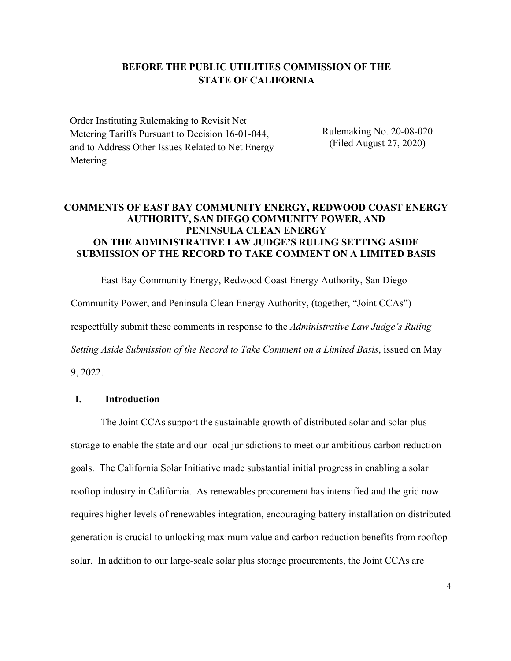## **BEFORE THE PUBLIC UTILITIES COMMISSION OF THE STATE OF CALIFORNIA**

Order Instituting Rulemaking to Revisit Net Metering Tariffs Pursuant to Decision 16-01-044, and to Address Other Issues Related to Net Energy Metering

Rulemaking No. 20-08-020 (Filed August 27, 2020)

### **COMMENTS OF EAST BAY COMMUNITY ENERGY, REDWOOD COAST ENERGY AUTHORITY, SAN DIEGO COMMUNITY POWER, AND PENINSULA CLEAN ENERGY ON THE ADMINISTRATIVE LAW JUDGE'S RULING SETTING ASIDE SUBMISSION OF THE RECORD TO TAKE COMMENT ON A LIMITED BASIS**

East Bay Community Energy, Redwood Coast Energy Authority, San Diego Community Power, and Peninsula Clean Energy Authority, (together, "Joint CCAs") respectfully submit these comments in response to the *Administrative Law Judge's Ruling Setting Aside Submission of the Record to Take Comment on a Limited Basis*, issued on May 9, 2022.

#### **I. Introduction**

The Joint CCAs support the sustainable growth of distributed solar and solar plus storage to enable the state and our local jurisdictions to meet our ambitious carbon reduction goals. The California Solar Initiative made substantial initial progress in enabling a solar rooftop industry in California. As renewables procurement has intensified and the grid now requires higher levels of renewables integration, encouraging battery installation on distributed generation is crucial to unlocking maximum value and carbon reduction benefits from rooftop solar. In addition to our large-scale solar plus storage procurements, the Joint CCAs are

4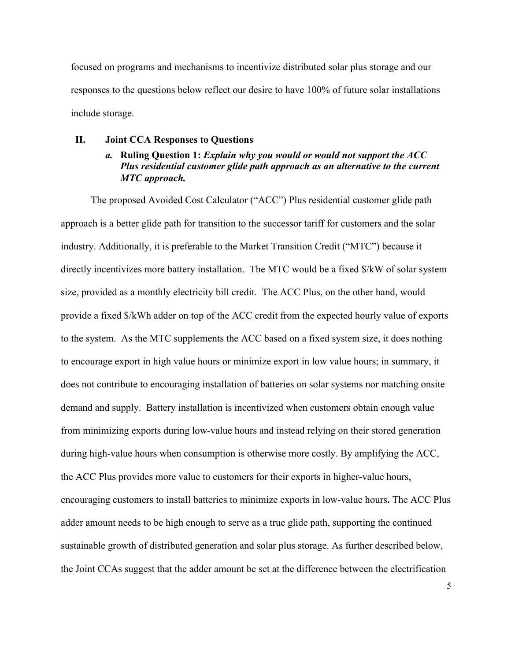focused on programs and mechanisms to incentivize distributed solar plus storage and our responses to the questions below reflect our desire to have 100% of future solar installations include storage.

#### **II. Joint CCA Responses to Questions**

### *a.* **Ruling Question 1:** *Explain why you would or would not support the ACC Plus residential customer glide path approach as an alternative to the current MTC approach.*

The proposed Avoided Cost Calculator ("ACC") Plus residential customer glide path approach is a better glide path for transition to the successor tariff for customers and the solar industry. Additionally, it is preferable to the Market Transition Credit ("MTC") because it directly incentivizes more battery installation. The MTC would be a fixed \$/kW of solar system size, provided as a monthly electricity bill credit. The ACC Plus, on the other hand, would provide a fixed \$/kWh adder on top of the ACC credit from the expected hourly value of exports to the system. As the MTC supplements the ACC based on a fixed system size, it does nothing to encourage export in high value hours or minimize export in low value hours; in summary, it does not contribute to encouraging installation of batteries on solar systems nor matching onsite demand and supply. Battery installation is incentivized when customers obtain enough value from minimizing exports during low-value hours and instead relying on their stored generation during high-value hours when consumption is otherwise more costly. By amplifying the ACC, the ACC Plus provides more value to customers for their exports in higher-value hours, encouraging customers to install batteries to minimize exports in low-value hours**.** The ACC Plus adder amount needs to be high enough to serve as a true glide path, supporting the continued sustainable growth of distributed generation and solar plus storage. As further described below, the Joint CCAs suggest that the adder amount be set at the difference between the electrification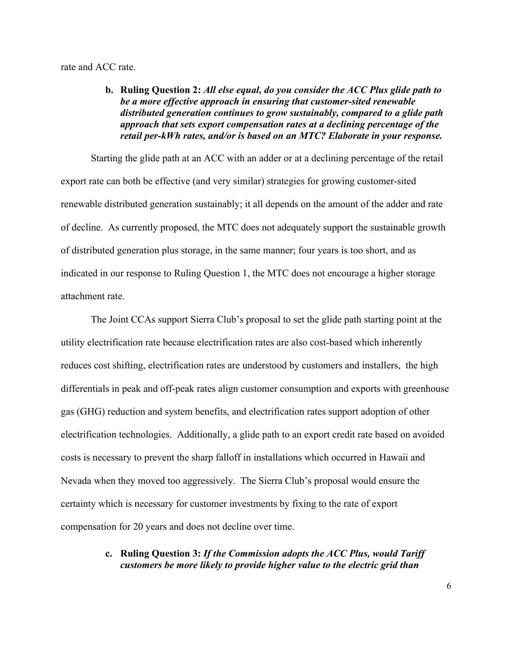rate and ACC rate.

#### **b. Ruling Question 2:** *All else equal, do you consider the ACC Plus glide path to be a more effective approach in ensuring that customer-sited renewable distributed generation continues to grow sustainably, compared to a glide path approach that sets export compensation rates at a declining percentage of the retail per-kWh rates, and/or is based on an MTC? Elaborate in your response.*

Starting the glide path at an ACC with an adder or at a declining percentage of the retail export rate can both be effective (and very similar) strategies for growing customer-sited renewable distributed generation sustainably; it all depends on the amount of the adder and rate of decline. As currently proposed, the MTC does not adequately support the sustainable growth of distributed generation plus storage, in the same manner; four years is too short, and as indicated in our response to Ruling Question 1, the MTC does not encourage a higher storage attachment rate.

The Joint CCAs support Sierra Club's proposal to set the glide path starting point at the utility electrification rate because electrification rates are also cost-based which inherently reduces cost shifting, electrification rates are understood by customers and installers, the high differentials in peak and off-peak rates align customer consumption and exports with greenhouse gas (GHG) reduction and system benefits, and electrification rates support adoption of other electrification technologies. Additionally, a glide path to an export credit rate based on avoided costs is necessary to prevent the sharp falloff in installations which occurred in Hawaii and Nevada when they moved too aggressively. The Sierra Club's proposal would ensure the certainty which is necessary for customer investments by fixing to the rate of export compensation for 20 years and does not decline over time.

#### **c. Ruling Question 3:** *If the Commission adopts the ACC Plus, would Tariff customers be more likely to provide higher value to the electric grid than*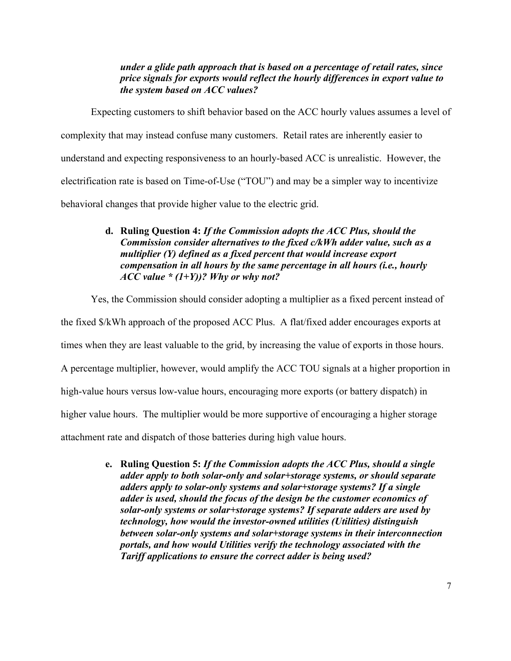#### *under a glide path approach that is based on a percentage of retail rates, since price signals for exports would reflect the hourly differences in export value to the system based on ACC values?*

Expecting customers to shift behavior based on the ACC hourly values assumes a level of complexity that may instead confuse many customers. Retail rates are inherently easier to understand and expecting responsiveness to an hourly-based ACC is unrealistic. However, the electrification rate is based on Time-of-Use ("TOU") and may be a simpler way to incentivize behavioral changes that provide higher value to the electric grid.

### **d. Ruling Question 4:** *If the Commission adopts the ACC Plus, should the Commission consider alternatives to the fixed c/kWh adder value, such as a multiplier (Y) defined as a fixed percent that would increase export compensation in all hours by the same percentage in all hours (i.e., hourly ACC value \* (1+Y))? Why or why not?*

Yes, the Commission should consider adopting a multiplier as a fixed percent instead of

the fixed \$/kWh approach of the proposed ACC Plus. A flat/fixed adder encourages exports at

times when they are least valuable to the grid, by increasing the value of exports in those hours.

A percentage multiplier, however, would amplify the ACC TOU signals at a higher proportion in

high-value hours versus low-value hours, encouraging more exports (or battery dispatch) in

higher value hours. The multiplier would be more supportive of encouraging a higher storage

attachment rate and dispatch of those batteries during high value hours.

**e. Ruling Question 5:** *If the Commission adopts the ACC Plus, should a single adder apply to both solar-only and solar+storage systems, or should separate adders apply to solar-only systems and solar+storage systems? If a single adder is used, should the focus of the design be the customer economics of solar-only systems or solar+storage systems? If separate adders are used by technology, how would the investor-owned utilities (Utilities) distinguish between solar-only systems and solar+storage systems in their interconnection portals, and how would Utilities verify the technology associated with the Tariff applications to ensure the correct adder is being used?*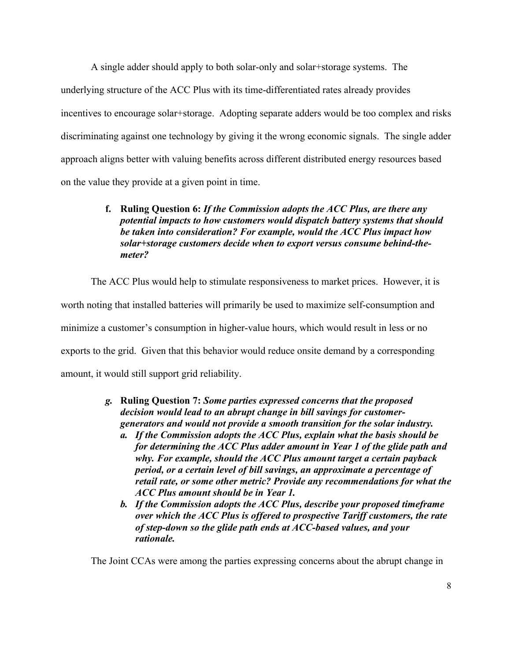A single adder should apply to both solar-only and solar+storage systems. The underlying structure of the ACC Plus with its time-differentiated rates already provides incentives to encourage solar+storage. Adopting separate adders would be too complex and risks discriminating against one technology by giving it the wrong economic signals. The single adder approach aligns better with valuing benefits across different distributed energy resources based on the value they provide at a given point in time.

### **f. Ruling Question 6:** *If the Commission adopts the ACC Plus, are there any potential impacts to how customers would dispatch battery systems that should be taken into consideration? For example, would the ACC Plus impact how solar+storage customers decide when to export versus consume behind-themeter?*

The ACC Plus would help to stimulate responsiveness to market prices. However, it is worth noting that installed batteries will primarily be used to maximize self-consumption and minimize a customer's consumption in higher-value hours, which would result in less or no exports to the grid. Given that this behavior would reduce onsite demand by a corresponding amount, it would still support grid reliability.

- *g.* **Ruling Question 7:** *Some parties expressed concerns that the proposed decision would lead to an abrupt change in bill savings for customergenerators and would not provide a smooth transition for the solar industry.*
	- *a. If the Commission adopts the ACC Plus, explain what the basis should be for determining the ACC Plus adder amount in Year 1 of the glide path and why. For example, should the ACC Plus amount target a certain payback period, or a certain level of bill savings, an approximate a percentage of retail rate, or some other metric? Provide any recommendations for what the ACC Plus amount should be in Year 1.*
	- *b. If the Commission adopts the ACC Plus, describe your proposed timeframe over which the ACC Plus is offered to prospective Tariff customers, the rate of step-down so the glide path ends at ACC-based values, and your rationale.*

The Joint CCAs were among the parties expressing concerns about the abrupt change in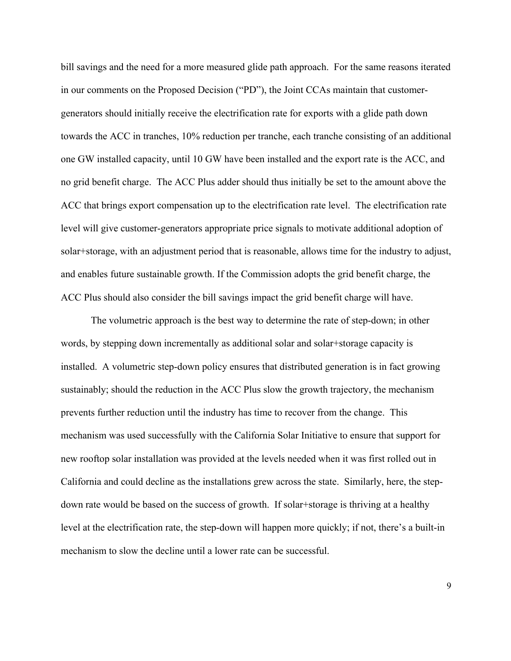bill savings and the need for a more measured glide path approach. For the same reasons iterated in our comments on the Proposed Decision ("PD"), the Joint CCAs maintain that customergenerators should initially receive the electrification rate for exports with a glide path down towards the ACC in tranches, 10% reduction per tranche, each tranche consisting of an additional one GW installed capacity, until 10 GW have been installed and the export rate is the ACC, and no grid benefit charge. The ACC Plus adder should thus initially be set to the amount above the ACC that brings export compensation up to the electrification rate level. The electrification rate level will give customer-generators appropriate price signals to motivate additional adoption of solar+storage, with an adjustment period that is reasonable, allows time for the industry to adjust, and enables future sustainable growth. If the Commission adopts the grid benefit charge, the ACC Plus should also consider the bill savings impact the grid benefit charge will have.

The volumetric approach is the best way to determine the rate of step-down; in other words, by stepping down incrementally as additional solar and solar+storage capacity is installed. A volumetric step-down policy ensures that distributed generation is in fact growing sustainably; should the reduction in the ACC Plus slow the growth trajectory, the mechanism prevents further reduction until the industry has time to recover from the change. This mechanism was used successfully with the California Solar Initiative to ensure that support for new rooftop solar installation was provided at the levels needed when it was first rolled out in California and could decline as the installations grew across the state. Similarly, here, the stepdown rate would be based on the success of growth. If solar+storage is thriving at a healthy level at the electrification rate, the step-down will happen more quickly; if not, there's a built-in mechanism to slow the decline until a lower rate can be successful.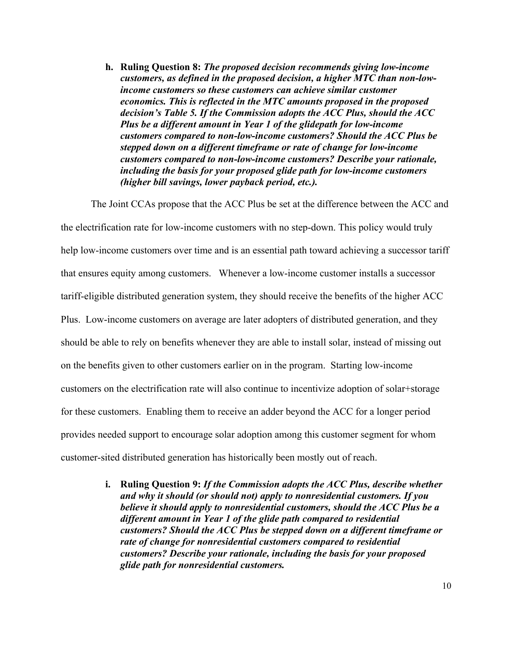**h. Ruling Question 8:** *The proposed decision recommends giving low-income customers, as defined in the proposed decision, a higher MTC than non-lowincome customers so these customers can achieve similar customer economics. This is reflected in the MTC amounts proposed in the proposed decision's Table 5. If the Commission adopts the ACC Plus, should the ACC Plus be a different amount in Year 1 of the glidepath for low-income customers compared to non-low-income customers? Should the ACC Plus be stepped down on a different timeframe or rate of change for low-income customers compared to non-low-income customers? Describe your rationale, including the basis for your proposed glide path for low-income customers (higher bill savings, lower payback period, etc.).*

The Joint CCAs propose that the ACC Plus be set at the difference between the ACC and the electrification rate for low-income customers with no step-down. This policy would truly help low-income customers over time and is an essential path toward achieving a successor tariff that ensures equity among customers. Whenever a low-income customer installs a successor tariff-eligible distributed generation system, they should receive the benefits of the higher ACC Plus. Low-income customers on average are later adopters of distributed generation, and they should be able to rely on benefits whenever they are able to install solar, instead of missing out on the benefits given to other customers earlier on in the program. Starting low-income customers on the electrification rate will also continue to incentivize adoption of solar+storage for these customers. Enabling them to receive an adder beyond the ACC for a longer period provides needed support to encourage solar adoption among this customer segment for whom customer-sited distributed generation has historically been mostly out of reach.

> **i. Ruling Question 9:** *If the Commission adopts the ACC Plus, describe whether and why it should (or should not) apply to nonresidential customers. If you believe it should apply to nonresidential customers, should the ACC Plus be a different amount in Year 1 of the glide path compared to residential customers? Should the ACC Plus be stepped down on a different timeframe or rate of change for nonresidential customers compared to residential customers? Describe your rationale, including the basis for your proposed glide path for nonresidential customers.*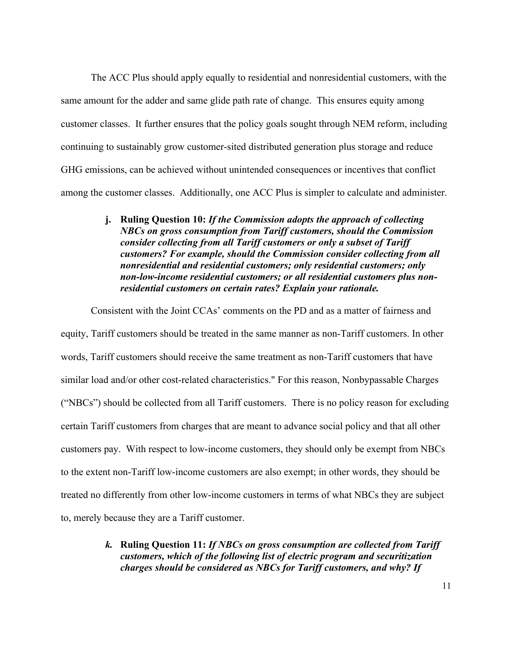The ACC Plus should apply equally to residential and nonresidential customers, with the same amount for the adder and same glide path rate of change. This ensures equity among customer classes. It further ensures that the policy goals sought through NEM reform, including continuing to sustainably grow customer-sited distributed generation plus storage and reduce GHG emissions, can be achieved without unintended consequences or incentives that conflict among the customer classes. Additionally, one ACC Plus is simpler to calculate and administer.

> **j. Ruling Question 10:** *If the Commission adopts the approach of collecting NBCs on gross consumption from Tariff customers, should the Commission consider collecting from all Tariff customers or only a subset of Tariff customers? For example, should the Commission consider collecting from all nonresidential and residential customers; only residential customers; only non-low-income residential customers; or all residential customers plus nonresidential customers on certain rates? Explain your rationale.*

Consistent with the Joint CCAs' comments on the PD and as a matter of fairness and equity, Tariff customers should be treated in the same manner as non-Tariff customers. In other words, Tariff customers should receive the same treatment as non-Tariff customers that have similar load and/or other cost-related characteristics." For this reason, Nonbypassable Charges ("NBCs") should be collected from all Tariff customers. There is no policy reason for excluding certain Tariff customers from charges that are meant to advance social policy and that all other customers pay. With respect to low-income customers, they should only be exempt from NBCs to the extent non-Tariff low-income customers are also exempt; in other words, they should be treated no differently from other low-income customers in terms of what NBCs they are subject to, merely because they are a Tariff customer.

> *k.* **Ruling Question 11:** *If NBCs on gross consumption are collected from Tariff customers, which of the following list of electric program and securitization charges should be considered as NBCs for Tariff customers, and why? If*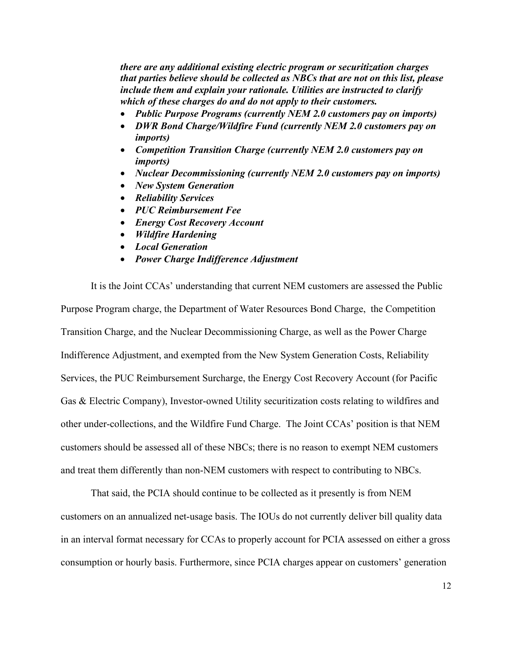*there are any additional existing electric program or securitization charges that parties believe should be collected as NBCs that are not on this list, please include them and explain your rationale. Utilities are instructed to clarify which of these charges do and do not apply to their customers.*

- *Public Purpose Programs (currently NEM 2.0 customers pay on imports)*
- *DWR Bond Charge/Wildfire Fund (currently NEM 2.0 customers pay on imports)*
- *Competition Transition Charge (currently NEM 2.0 customers pay on imports)*
- *Nuclear Decommissioning (currently NEM 2.0 customers pay on imports)*
- *New System Generation*
- *Reliability Services*
- *PUC Reimbursement Fee*
- *Energy Cost Recovery Account*
- *Wildfire Hardening*
- *Local Generation*
- *Power Charge Indifference Adjustment*

It is the Joint CCAs' understanding that current NEM customers are assessed the Public Purpose Program charge, the Department of Water Resources Bond Charge, the Competition Transition Charge, and the Nuclear Decommissioning Charge, as well as the Power Charge Indifference Adjustment, and exempted from the New System Generation Costs, Reliability Services, the PUC Reimbursement Surcharge, the Energy Cost Recovery Account (for Pacific Gas & Electric Company), Investor-owned Utility securitization costs relating to wildfires and other under-collections, and the Wildfire Fund Charge. The Joint CCAs' position is that NEM customers should be assessed all of these NBCs; there is no reason to exempt NEM customers and treat them differently than non-NEM customers with respect to contributing to NBCs.

That said, the PCIA should continue to be collected as it presently is from NEM customers on an annualized net-usage basis. The IOUs do not currently deliver bill quality data in an interval format necessary for CCAs to properly account for PCIA assessed on either a gross consumption or hourly basis. Furthermore, since PCIA charges appear on customers' generation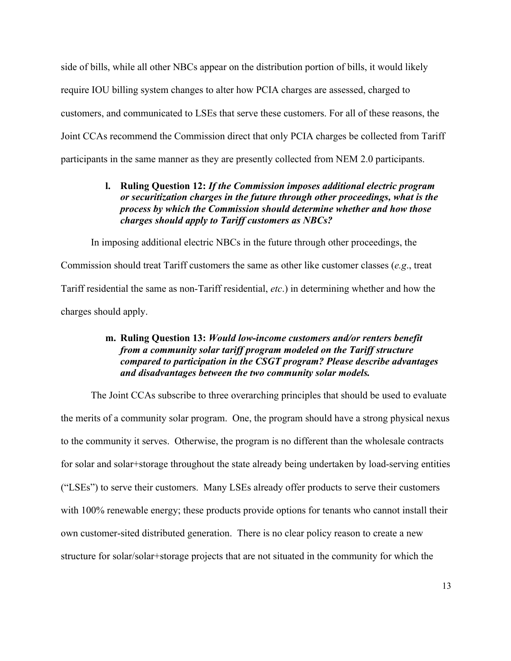side of bills, while all other NBCs appear on the distribution portion of bills, it would likely require IOU billing system changes to alter how PCIA charges are assessed, charged to customers, and communicated to LSEs that serve these customers. For all of these reasons, the Joint CCAs recommend the Commission direct that only PCIA charges be collected from Tariff participants in the same manner as they are presently collected from NEM 2.0 participants.

### **l. Ruling Question 12:** *If the Commission imposes additional electric program or securitization charges in the future through other proceedings, what is the process by which the Commission should determine whether and how those charges should apply to Tariff customers as NBCs?*

In imposing additional electric NBCs in the future through other proceedings, the Commission should treat Tariff customers the same as other like customer classes (*e.g*., treat Tariff residential the same as non-Tariff residential, *etc*.) in determining whether and how the charges should apply.

#### **m. Ruling Question 13:** *Would low-income customers and/or renters benefit from a community solar tariff program modeled on the Tariff structure compared to participation in the CSGT program? Please describe advantages and disadvantages between the two community solar models.*

The Joint CCAs subscribe to three overarching principles that should be used to evaluate the merits of a community solar program. One, the program should have a strong physical nexus to the community it serves. Otherwise, the program is no different than the wholesale contracts for solar and solar+storage throughout the state already being undertaken by load-serving entities ("LSEs") to serve their customers. Many LSEs already offer products to serve their customers with 100% renewable energy; these products provide options for tenants who cannot install their own customer-sited distributed generation. There is no clear policy reason to create a new structure for solar/solar+storage projects that are not situated in the community for which the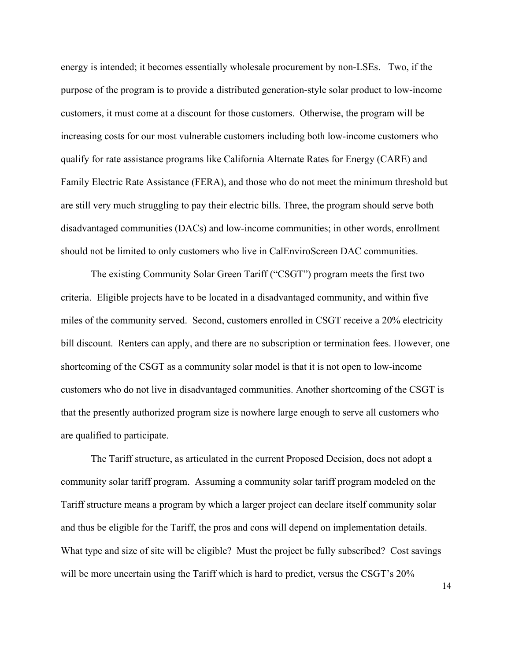energy is intended; it becomes essentially wholesale procurement by non-LSEs. Two, if the purpose of the program is to provide a distributed generation-style solar product to low-income customers, it must come at a discount for those customers. Otherwise, the program will be increasing costs for our most vulnerable customers including both low-income customers who qualify for rate assistance programs like California Alternate Rates for Energy (CARE) and Family Electric Rate Assistance (FERA), and those who do not meet the minimum threshold but are still very much struggling to pay their electric bills. Three, the program should serve both disadvantaged communities (DACs) and low-income communities; in other words, enrollment should not be limited to only customers who live in CalEnviroScreen DAC communities.

The existing Community Solar Green Tariff ("CSGT") program meets the first two criteria. Eligible projects have to be located in a disadvantaged community, and within five miles of the community served. Second, customers enrolled in CSGT receive a 20% electricity bill discount. Renters can apply, and there are no subscription or termination fees. However, one shortcoming of the CSGT as a community solar model is that it is not open to low-income customers who do not live in disadvantaged communities. Another shortcoming of the CSGT is that the presently authorized program size is nowhere large enough to serve all customers who are qualified to participate.

The Tariff structure, as articulated in the current Proposed Decision, does not adopt a community solar tariff program. Assuming a community solar tariff program modeled on the Tariff structure means a program by which a larger project can declare itself community solar and thus be eligible for the Tariff, the pros and cons will depend on implementation details. What type and size of site will be eligible? Must the project be fully subscribed? Cost savings will be more uncertain using the Tariff which is hard to predict, versus the CSGT's  $20\%$ 

14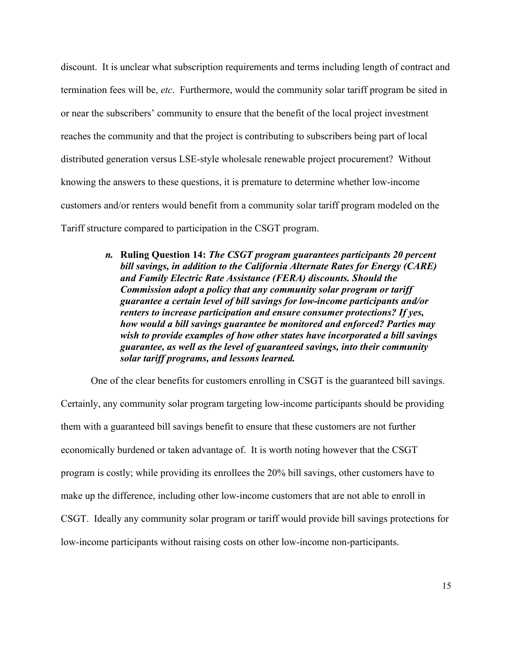discount. It is unclear what subscription requirements and terms including length of contract and termination fees will be, *etc*. Furthermore, would the community solar tariff program be sited in or near the subscribers' community to ensure that the benefit of the local project investment reaches the community and that the project is contributing to subscribers being part of local distributed generation versus LSE-style wholesale renewable project procurement? Without knowing the answers to these questions, it is premature to determine whether low-income customers and/or renters would benefit from a community solar tariff program modeled on the Tariff structure compared to participation in the CSGT program.

> *n.* **Ruling Question 14:** *The CSGT program guarantees participants 20 percent bill savings, in addition to the California Alternate Rates for Energy (CARE) and Family Electric Rate Assistance (FERA) discounts. Should the Commission adopt a policy that any community solar program or tariff guarantee a certain level of bill savings for low-income participants and/or renters to increase participation and ensure consumer protections? If yes, how would a bill savings guarantee be monitored and enforced? Parties may wish to provide examples of how other states have incorporated a bill savings guarantee, as well as the level of guaranteed savings, into their community solar tariff programs, and lessons learned.*

One of the clear benefits for customers enrolling in CSGT is the guaranteed bill savings.

Certainly, any community solar program targeting low-income participants should be providing them with a guaranteed bill savings benefit to ensure that these customers are not further economically burdened or taken advantage of. It is worth noting however that the CSGT program is costly; while providing its enrollees the 20% bill savings, other customers have to make up the difference, including other low-income customers that are not able to enroll in CSGT. Ideally any community solar program or tariff would provide bill savings protections for low-income participants without raising costs on other low-income non-participants.